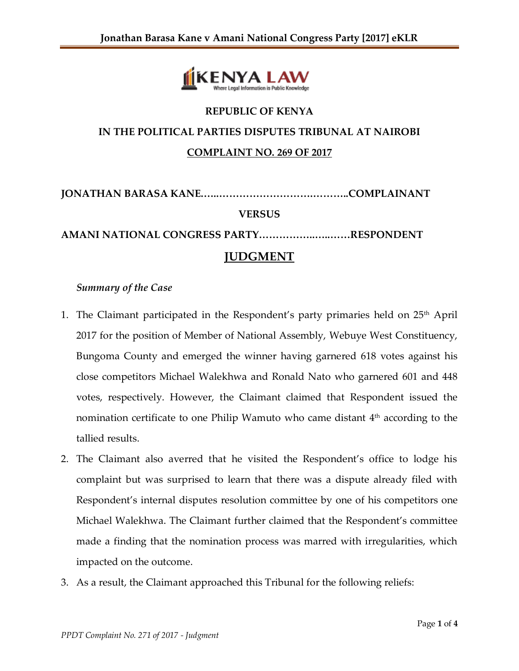

# **REPUBLIC OF KENYA IN THE POLITICAL PARTIES DISPUTES TRIBUNAL AT NAIROBI COMPLAINT NO. 269 OF 2017**

**JONATHAN BARASA KANE.…..……………………….………..COMPLAINANT VERSUS AMANI NATIONAL CONGRESS PARTY……………..…..……RESPONDENT JUDGMENT**

#### *Summary of the Case*

- 1. The Claimant participated in the Respondent's party primaries held on  $25<sup>th</sup>$  April 2017 for the position of Member of National Assembly, Webuye West Constituency, Bungoma County and emerged the winner having garnered 618 votes against his close competitors Michael Walekhwa and Ronald Nato who garnered 601 and 448 votes, respectively. However, the Claimant claimed that Respondent issued the nomination certificate to one Philip Wamuto who came distant 4 th according to the tallied results.
- 2. The Claimant also averred that he visited the Respondent's office to lodge his complaint but was surprised to learn that there was a dispute already filed with Respondent's internal disputes resolution committee by one of his competitors one Michael Walekhwa. The Claimant further claimed that the Respondent's committee made a finding that the nomination process was marred with irregularities, which impacted on the outcome.
- 3. As a result, the Claimant approached this Tribunal for the following reliefs: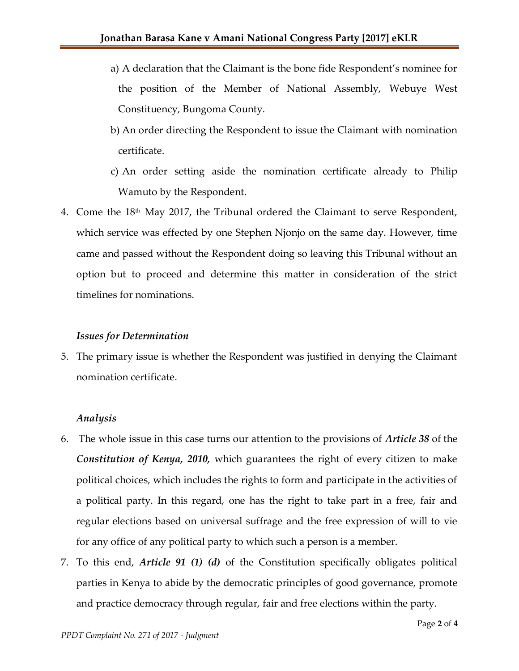- a) A declaration that the Claimant is the bone fide Respondent's nominee for the position of the Member of National Assembly, Webuye West Constituency, Bungoma County.
- b) An order directing the Respondent to issue the Claimant with nomination certificate.
- c) An order setting aside the nomination certificate already to Philip Wamuto by the Respondent.
- 4. Come the  $18<sup>th</sup>$  May 2017, the Tribunal ordered the Claimant to serve Respondent, which service was effected by one Stephen Njonjo on the same day. However, time came and passed without the Respondent doing so leaving this Tribunal without an option but to proceed and determine this matter in consideration of the strict timelines for nominations.

#### *Issues for Determination*

5. The primary issue is whether the Respondent was justified in denying the Claimant nomination certificate.

## *Analysis*

- 6. The whole issue in this case turns our attention to the provisions of *Article 38* of the *Constitution of Kenya, 2010,* which guarantees the right of every citizen to make political choices, which includes the rights to form and participate in the activities of a political party. In this regard, one has the right to take part in a free, fair and regular elections based on universal suffrage and the free expression of will to vie for any office of any political party to which such a person is a member.
- 7. To this end, *Article 91 (1) (d)* of the Constitution specifically obligates political parties in Kenya to abide by the democratic principles of good governance, promote and practice democracy through regular, fair and free elections within the party.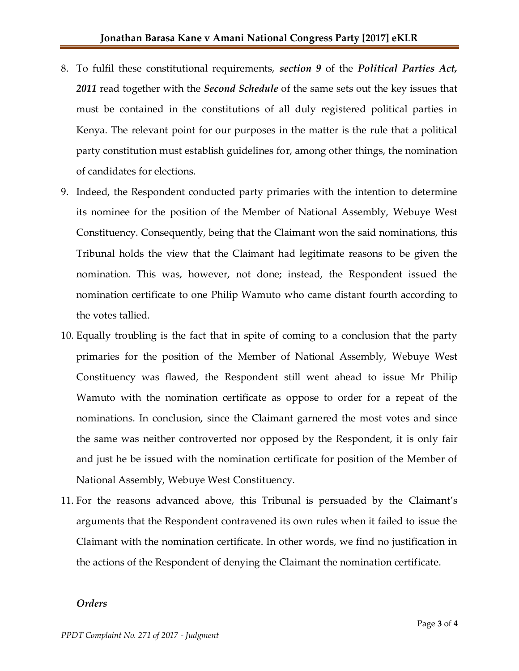- 8. To fulfil these constitutional requirements, *section 9* of the *Political Parties Act, 2011* read together with the *Second Schedule* of the same sets out the key issues that must be contained in the constitutions of all duly registered political parties in Kenya. The relevant point for our purposes in the matter is the rule that a political party constitution must establish guidelines for, among other things, the nomination of candidates for elections.
- 9. Indeed, the Respondent conducted party primaries with the intention to determine its nominee for the position of the Member of National Assembly, Webuye West Constituency. Consequently, being that the Claimant won the said nominations, this Tribunal holds the view that the Claimant had legitimate reasons to be given the nomination. This was, however, not done; instead, the Respondent issued the nomination certificate to one Philip Wamuto who came distant fourth according to the votes tallied.
- 10. Equally troubling is the fact that in spite of coming to a conclusion that the party primaries for the position of the Member of National Assembly, Webuye West Constituency was flawed, the Respondent still went ahead to issue Mr Philip Wamuto with the nomination certificate as oppose to order for a repeat of the nominations. In conclusion, since the Claimant garnered the most votes and since the same was neither controverted nor opposed by the Respondent, it is only fair and just he be issued with the nomination certificate for position of the Member of National Assembly, Webuye West Constituency.
- 11. For the reasons advanced above, this Tribunal is persuaded by the Claimant's arguments that the Respondent contravened its own rules when it failed to issue the Claimant with the nomination certificate. In other words, we find no justification in the actions of the Respondent of denying the Claimant the nomination certificate.

## *Orders*